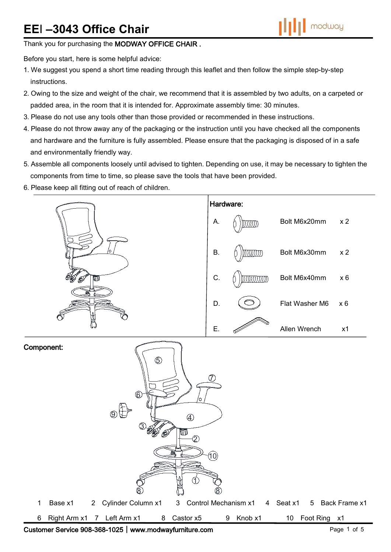# **EE**I **–3043 Office Chair**

Thank you for purchasing the MODWAY OFFICE CHAIR.

Before you start, here is some helpful advice:

- 1.We suggest you spend a short time reading through this leaflet and then follow the simple step-by-step instructions.
- 2.Owing to the size and weight of the chair, we recommend that it is assembled by two adults, on a carpeted or padded area, in the room that it is intended for. Approximate assembly time: 30 minutes.
- 3.Please do not use any tools other than those provided or recommended in these instructions.
- 4.Please do not throw away any of the packaging or the instruction until you have checked all the components and hardware and the furniture is fully assembled. Please ensure that the packaging is disposed of in a safe and environmentally friendly way.
- 5.Assemble all components loosely until advised to tighten. Depending on use, it may be necessary to tighten the components from time to time, so please save the tools that have been provided.
- 6.Please keep all fitting out of reach of children.



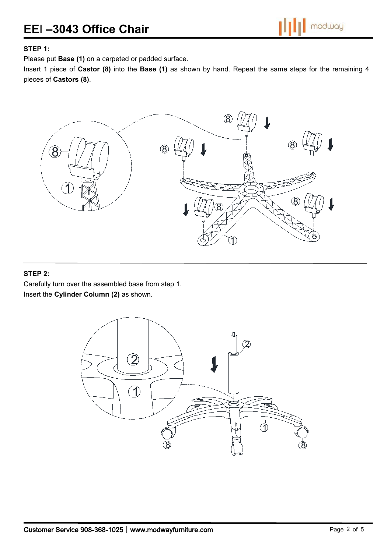## **STEP 1:**

Please put **Base (1)** on a carpeted or padded surface.

Insert 1 piece of **Castor (8)** into the **Base (1)** as shown by hand. Repeat the same steps for the remaining 4 pieces of **Castors (8)**.



### **STEP 2:**

Carefully turn over the assembled base from step 1. Insert the **Cylinder Column (2)** as shown.

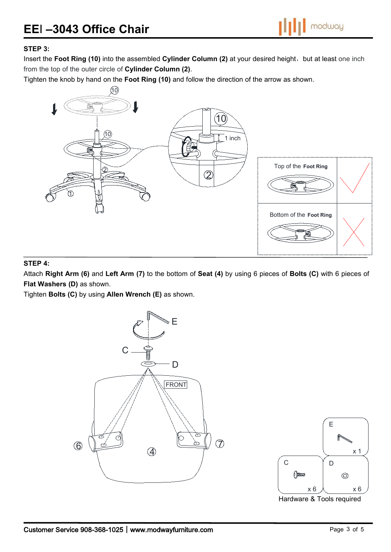

## **STEP 3:**

Insert the Foot Ring (10) into the assembled Cylinder Column (2) at your desired height, but at least one inch from the top of the outer circle of **Cylinder Column (2)**.

Tighten the knob by hand on the **Foot Ring (10)** and follow the direction of the arrow as shown.



#### **STEP 4:**

Attach **Right Arm (6)** and **Left Arm (7)** to the bottom of **Seat (4)** by using 6 pieces of**Bolts (C)** with 6 pieces of **Flat Washers (D)** as shown.

Tighten **Bolts (C)** by using **Allen Wrench (E)** as shown.



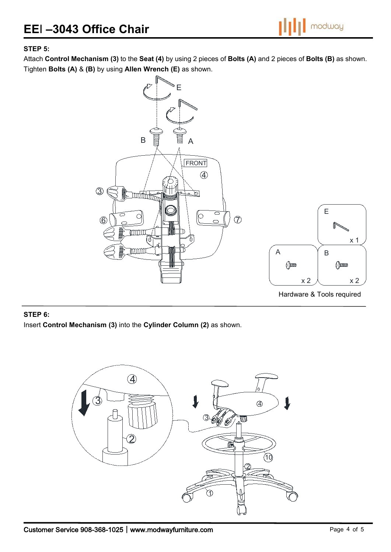

## **STEP 5:**

Attach **Control Mechanism (3)** to the **Seat (4)** by using 2 pieces of **Bolts (A)** and 2 pieces of **Bolts (B)** as shown. Tighten **Bolts (A)** & **(B)** by using **Allen Wrench (E)** as shown.



## **STEP 6:**

Insert **Control Mechanism (3)** into the **Cylinder Column (2)** as shown.